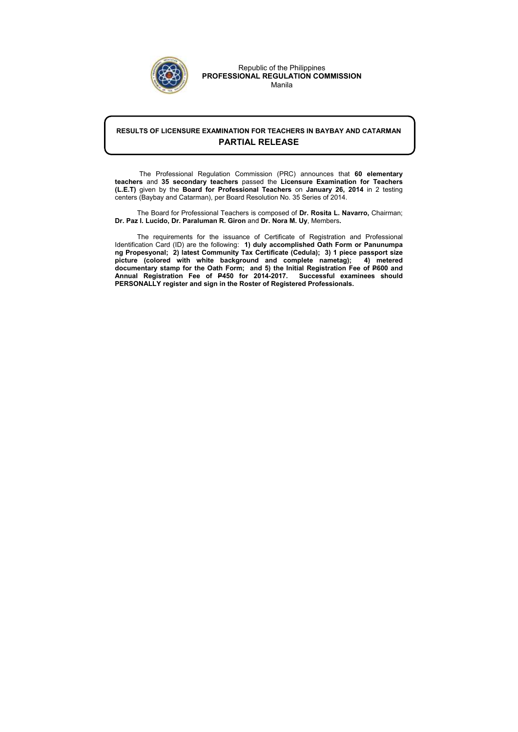## RESULTS OF LICENSURE EXAMINATION FOR TEACHERS IN BAYBAY AND CATARMAN PARTIAL RELEASE

 The Professional Regulation Commission (PRC) announces that 60 elementary teachers and 35 secondary teachers passed the Licensure Examination for Teachers (L.E.T) given by the Board for Professional Teachers on January 26, 2014 in 2 testing centers (Baybay and Catarman), per Board Resolution No. 35 Series of 2014.

The Board for Professional Teachers is composed of Dr. Rosita L. Navarro, Chairman; Dr. Paz I. Lucido, Dr. Paraluman R. Giron and Dr. Nora M. Uy, Members.

The requirements for the issuance of Certificate of Registration and Professional Identification Card (ID) are the following: 1) duly accomplished Oath Form or Panunumpa ng Propesyonal; 2) latest Community Tax Certificate (Cedula); 3) 1 piece passport size picture (colored with white background and complete nametag); 4) metered documentary stamp for the Oath Form; and 5) the Initial Registration Fee of P600 and Annual Registration Fee of P450 for 2014-2017. Successful examinees should PERSONALLY register and sign in the Roster of Registered Professionals.



Republic of the Philippines PROFESSIONAL REGULATION COMMISSION Manila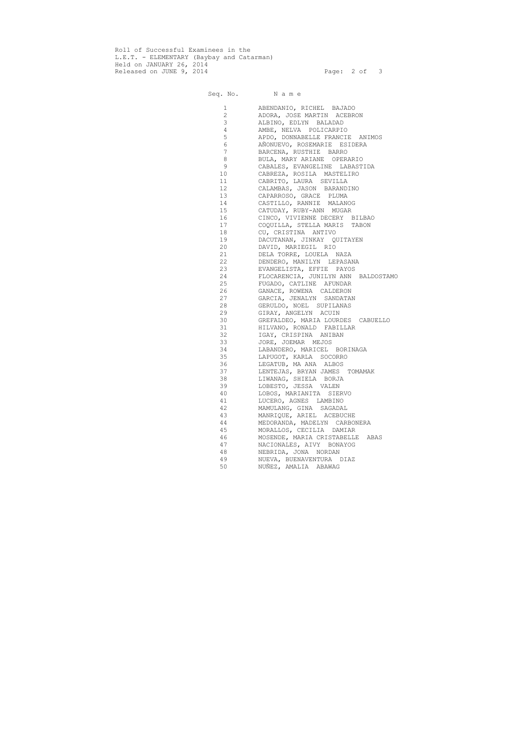Roll of Successful Examinees in the L.E.T. - ELEMENTARY (Baybay and Catarman) Held on JANUARY 26, 2014 Released on JUNE 9, 2014 **Page: 2 of 3** 

Seq. No. Name

 1 ABENDANIO, RICHEL BAJADO 2 ADORA, JOSE MARTIN ACEBRON 3 ALBINO, EDLYN BALADAD 4 AMBE, NELVA POLICARPIO 5 APDO, DONNABELLE FRANCIE ANIMOS 6 AÑONUEVO, ROSEMARIE ESIDERA 7 BARCENA, RUSTHIE BARRO 8 BULA, MARY ARIANE OPERARIO 9 CABALES, EVANGELINE LABASTIDA 10 CABREZA, ROSILA MASTELIRO 11 CABRITO, LAURA SEVILLA 12 CALAMBAS, JASON BARANDINO 13 CAPARROSO, GRACE PLUMA 14 CASTILLO, RANNIE MALANOG 15 CATUDAY, RUBY-ANN MUGAR 16 CINCO, VIVIENNE DECERY BILBAO 17 COQUILLA, STELLA MARIS TABON 18 CU, CRISTINA ANTIVO 19 DACUTANAN, JINKAY QUITAYEN 20 DAVID, MARIEGIL RIO 21 DELA TORRE, LOUELA NAZA 22 DENDERO, MANILYN LEPASANA 23 EVANGELISTA, EFFIE PAYOS 24 FLOCARENCIA, JUNILYN ANN BALDOSTAMO 25 FUGADO, CATLINE AFUNDAR 26 GANACE, ROWENA CALDERON 27 GARCIA, JENALYN SANDATAN 28 GERULDO, NOEL SUPILANAS 29 GIRAY, ANGELYN ACUIN 30 GREFALDEO, MARIA LOURDES CABUELLO 31 HILVANO, RONALD FABILLAR 32 IGAY, CRISPINA ANIBAN 33 JORE, JOEMAR MEJOS 34 LABANDERO, MARICEL BORINAGA 35 LAPUGOT, KARLA SOCORRO<br>36 LEGATUB, MA ANA ALBOS LEGATUB, MA ANA ALBOS 37 LENTEJAS, BRYAN JAMES TOMAMAK 38 LIWANAG, SHIELA BORJA 39 LOBESTO, JESSA VALEN 40 LOBOS, MARIANITA SIERVO 41 LUCERO, AGNES LAMBINO 42 MAMULANG, GINA SAGADAL 43 MANRIQUE, ARIEL ACEBUCHE 44 MEDORANDA, MADELYN CARBONERA 45 MORALLOS, CECILIA DAMIAR 46 MOSENDE, MARIA CRISTABELLE ABAS 47 NACIONALES, AIVY BONAYOG 48 NEBRIDA, JONA NORDAN 49 NUEVA, BUENAVENTURA DIAZ 50 NUÑEZ, AMALIA ABAWAG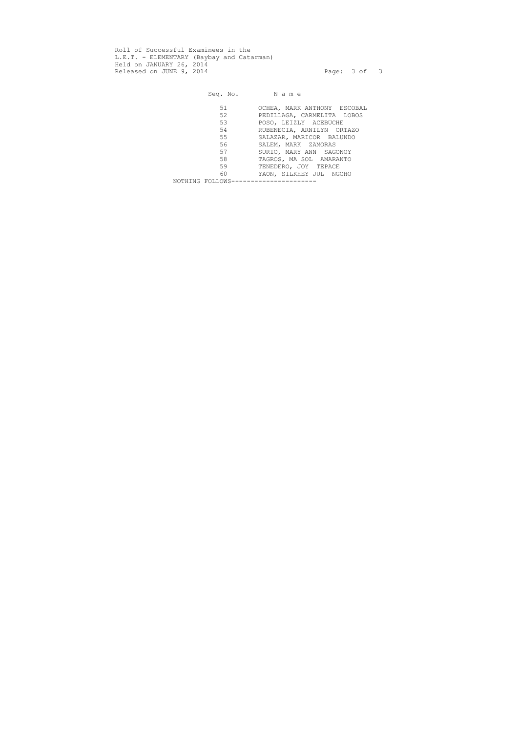Roll of Successful Examinees in the L.E.T. - ELEMENTARY (Baybay and Catarman) Held on JANUARY 26, 2014 Released on JUNE 9, 2014 **Page: 3 of 3** 

Seq. No. Name 51 OCHEA, MARK ANTHONY ESCOBAL<br>52 PEDILLAGA, CARMELITA LOBOS PEDILLAGA, CARMELITA LOBOS 53 POSO, LEIZLY ACEBUCHE 54 RUBENECIA, ARNILYN ORTAZO 55 SALAZAR, MARICOR BALUNDO 56 SALEM, MARK ZAMORAS 57 SURIO, MARY ANN SAGONOY 58 TAGROS, MA SOL AMARANTO<br>59 TENEDERO, JOY TEPACE 59 TENEDERO, JOY TEPACE<br>60 YAON, SILKHEY JUL NGC YAON, SILKHEY JUL NGOHO NOTHING FOLLOWS----------------------